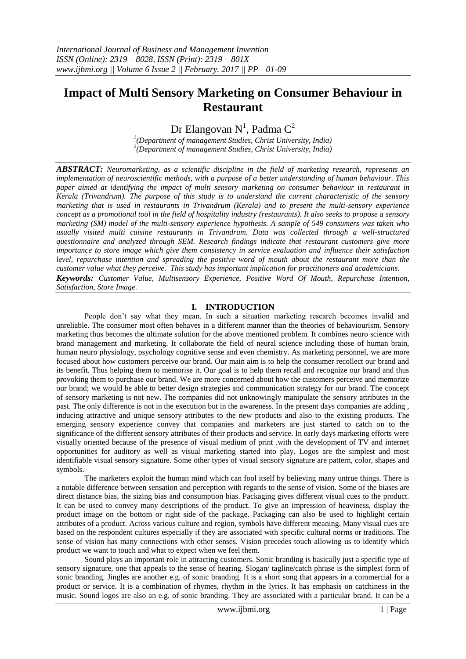# **Impact of Multi Sensory Marketing on Consumer Behaviour in Restaurant**

Dr Elangovan N<sup>1</sup>, Padma  $C^2$ 

*1 (Department of management Studies, Christ University, India) 2 (Department of management Studies, Christ University, India)*

*ABSTRACT: Neuromarketing, as a scientific discipline in the field of marketing research, represents an implementation of neuroscientific methods, with a purpose of a better understanding of human behaviour. This paper aimed at identifying the impact of multi sensory marketing on consumer behaviour in restaurant in Kerala (Trivandrum). The purpose of this study is to understand the current characteristic of the sensory marketing that is used in restaurants in Trivandrum (Kerala) and to present the multi-sensory experience concept as a promotional tool in the field of hospitality industry (restaurants). It also seeks to propose a sensory marketing (SM) model of the multi-sensory experience hypothesis. A sample of 549 consumers was taken who usually visited multi cuisine restaurants in Trivandrum. Data was collected through a well-structured questionnaire and analyzed through SEM. Research findings indicate that restaurant customers give more importance to store image which give them consistency in service evaluation and influence their satisfaction level, repurchase intention and spreading the positive word of mouth about the restaurant more than the customer value what they perceive. This study has important implication for practitioners and academicians. Keywords: Customer Value, Multisensory Experience, Positive Word Of Mouth, Repurchase Intention, Satisfaction, Store Image.* 

## **I. INTRODUCTION**

People don"t say what they mean. In such a situation marketing research becomes invalid and unreliable. The consumer most often behaves in a different manner than the theories of behaviourism. Sensory marketing thus becomes the ultimate solution for the above mentioned problem. It combines neuro science with brand management and marketing. It collaborate the field of neural science including those of human brain, human neuro physiology, psychology cognitive sense and even chemistry. As marketing personnel, we are more focused about how customers perceive our brand. Our main aim is to help the consumer recollect our brand and its benefit. Thus helping them to memorise it. Our goal is to help them recall and recognize our brand and thus provoking them to purchase our brand. We are more concerned about how the customers perceive and memorize our brand; we would be able to better design strategies and communication strategy for our brand. The concept of sensory marketing is not new. The companies did not unknowingly manipulate the sensory attributes in the past. The only difference is not in the execution but in the awareness. In the present days companies are adding , inducing attractive and unique sensory attributes to the new products and also to the existing products. The emerging sensory experience convey that companies and marketers are just started to catch on to the significance of the different sensory attributes of their products and service. In early days marketing efforts were visually oriented because of the presence of visual medium of print .with the development of TV and internet opportunities for auditory as well as visual marketing started into play. Logos are the simplest and most identifiable visual sensory signature. Some other types of visual sensory signature are pattern, color, shapes and symbols.

The marketers exploit the human mind which can fool itself by believing many untrue things. There is a notable difference between sensation and perception with regards to the sense of vision. Some of the biases are direct distance bias, the sizing bias and consumption bias. Packaging gives different visual cues to the product. It can be used to convey many descriptions of the product. To give an impression of heaviness, display the product image on the bottom or right side of the package. Packaging can also be used to highlight certain attributes of a product. Across various culture and region, symbols have different meaning. Many visual cues are based on the respondent cultures especially if they are associated with specific cultural norms or traditions. The sense of vision has many connections with other senses. Vision precedes touch allowing us to identify which product we want to touch and what to expect when we feel them.

Sound plays an important role in attracting customers. Sonic branding is basically just a specific type of sensory signature, one that appeals to the sense of hearing. Slogan/ tagline/catch phrase is the simplest form of sonic branding. Jingles are another e.g. of sonic branding. It is a short song that appears in a commercial for a product or service. It is a combination of rhymes, rhythm in the lyrics. It has emphasis on catchiness in the music. Sound logos are also an e.g. of sonic branding. They are associated with a particular brand. It can be a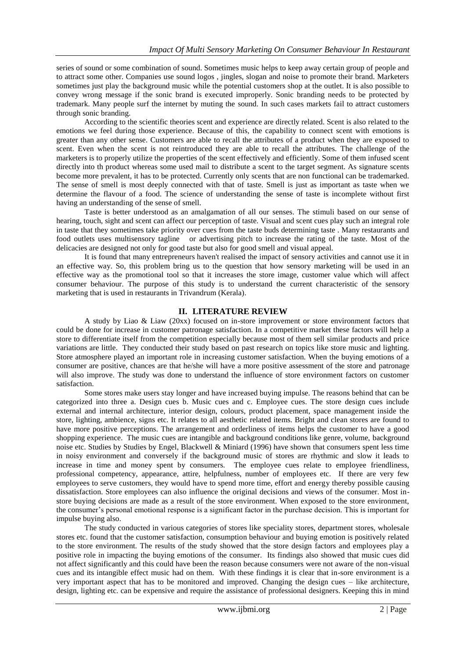series of sound or some combination of sound. Sometimes music helps to keep away certain group of people and to attract some other. Companies use sound logos , jingles, slogan and noise to promote their brand. Marketers sometimes just play the background music while the potential customers shop at the outlet. It is also possible to convey wrong message if the sonic brand is executed improperly. Sonic branding needs to be protected by trademark. Many people surf the internet by muting the sound. In such cases markets fail to attract customers through sonic branding.

According to the scientific theories scent and experience are directly related. Scent is also related to the emotions we feel during those experience. Because of this, the capability to connect scent with emotions is greater than any other sense. Customers are able to recall the attributes of a product when they are exposed to scent. Even when the scent is not reintroduced they are able to recall the attributes. The challenge of the marketers is to properly utilize the properties of the scent effectively and efficiently. Some of them infused scent directly into th product whereas some used mail to distribute a scent to the target segment. As signature scents become more prevalent, it has to be protected. Currently only scents that are non functional can be trademarked. The sense of smell is most deeply connected with that of taste. Smell is just as important as taste when we determine the flavour of a food. The science of understanding the sense of taste is incomplete without first having an understanding of the sense of smell.

Taste is better understood as an amalgamation of all our senses. The stimuli based on our sense of hearing, touch, sight and scent can affect our perception of taste. Visual and scent cues play such an integral role in taste that they sometimes take priority over cues from the taste buds determining taste . Many restaurants and food outlets uses multisensory tagline or advertising pitch to increase the rating of the taste. Most of the delicacies are designed not only for good taste but also for good smell and visual appeal.

It is found that many entrepreneurs haven't realised the impact of sensory activities and cannot use it in an effective way. So, this problem bring us to the question that how sensory marketing will be used in an effective way as the promotional tool so that it increases the store image, customer value which will affect consumer behaviour. The purpose of this study is to understand the current characteristic of the sensory marketing that is used in restaurants in Trivandrum (Kerala).

## **II. LITERATURE REVIEW**

A study by Liao & Liaw (20xx) focused on in-store improvement or store environment factors that could be done for increase in customer patronage satisfaction. In a competitive market these factors will help a store to differentiate itself from the competition especially because most of them sell similar products and price variations are little. They conducted their study based on past research on topics like store music and lighting. Store atmosphere played an important role in increasing customer satisfaction. When the buying emotions of a consumer are positive, chances are that he/she will have a more positive assessment of the store and patronage will also improve. The study was done to understand the influence of store environment factors on customer satisfaction.

Some stores make users stay longer and have increased buying impulse. The reasons behind that can be categorized into three a. Design cues b. Music cues and c. Employee cues. The store design cues include external and internal architecture, interior design, colours, product placement, space management inside the store, lighting, ambience, signs etc. It relates to all aesthetic related items. Bright and clean stores are found to have more positive perceptions. The arrangement and orderliness of items helps the customer to have a good shopping experience. The music cues are intangible and background conditions like genre, volume, background noise etc. Studies by Studies by Engel, Blackwell & Miniard (1996) have shown that consumers spent less time in noisy environment and conversely if the background music of stores are rhythmic and slow it leads to increase in time and money spent by consumers. The employee cues relate to employee friendliness, professional competency, appearance, attire, helpfulness, number of employees etc. If there are very few employees to serve customers, they would have to spend more time, effort and energy thereby possible causing dissatisfaction. Store employees can also influence the original decisions and views of the consumer. Most instore buying decisions are made as a result of the store environment. When exposed to the store environment, the consumer"s personal emotional response is a significant factor in the purchase decision. This is important for impulse buying also.

The study conducted in various categories of stores like speciality stores, department stores, wholesale stores etc. found that the customer satisfaction, consumption behaviour and buying emotion is positively related to the store environment. The results of the study showed that the store design factors and employees play a positive role in impacting the buying emotions of the consumer. Its findings also showed that music cues did not affect significantly and this could have been the reason because consumers were not aware of the non-visual cues and its intangible effect music had on them. With these findings it is clear that in-sore environment is a very important aspect that has to be monitored and improved. Changing the design cues – like architecture, design, lighting etc. can be expensive and require the assistance of professional designers. Keeping this in mind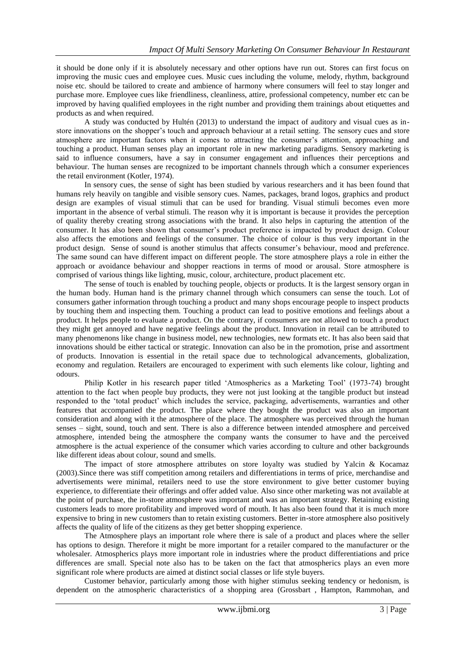it should be done only if it is absolutely necessary and other options have run out. Stores can first focus on improving the music cues and employee cues. Music cues including the volume, melody, rhythm, background noise etc. should be tailored to create and ambience of harmony where consumers will feel to stay longer and purchase more. Employee cues like friendliness, cleanliness, attire, professional competency, number etc can be improved by having qualified employees in the right number and providing them trainings about etiquettes and products as and when required.

A study was conducted by Hultén (2013) to understand the impact of auditory and visual cues as instore innovations on the shopper"s touch and approach behaviour at a retail setting. The sensory cues and store atmosphere are important factors when it comes to attracting the consumer"s attention, approaching and touching a product. Human senses play an important role in new marketing paradigms. Sensory marketing is said to influence consumers, have a say in consumer engagement and influences their perceptions and behaviour. The human senses are recognized to be important channels through which a consumer experiences the retail environment (Kotler, 1974).

In sensory cues, the sense of sight has been studied by various researchers and it has been found that humans rely heavily on tangible and visible sensory cues. Names, packages, brand logos, graphics and product design are examples of visual stimuli that can be used for branding. Visual stimuli becomes even more important in the absence of verbal stimuli. The reason why it is important is because it provides the perception of quality thereby creating strong associations with the brand. It also helps in capturing the attention of the consumer. It has also been shown that consumer"s product preference is impacted by product design. Colour also affects the emotions and feelings of the consumer. The choice of colour is thus very important in the product design. Sense of sound is another stimulus that affects consumer"s behaviour, mood and preference. The same sound can have different impact on different people. The store atmosphere plays a role in either the approach or avoidance behaviour and shopper reactions in terms of mood or arousal. Store atmosphere is comprised of various things like lighting, music, colour, architecture, product placement etc.

The sense of touch is enabled by touching people, objects or products. It is the largest sensory organ in the human body. Human hand is the primary channel through which consumers can sense the touch. Lot of consumers gather information through touching a product and many shops encourage people to inspect products by touching them and inspecting them. Touching a product can lead to positive emotions and feelings about a product. It helps people to evaluate a product. On the contrary, if consumers are not allowed to touch a product they might get annoyed and have negative feelings about the product. Innovation in retail can be attributed to many phenomenons like change in business model, new technologies, new formats etc. It has also been said that innovations should be either tactical or strategic. Innovation can also be in the promotion, prise and assortment of products. Innovation is essential in the retail space due to technological advancements, globalization, economy and regulation. Retailers are encouraged to experiment with such elements like colour, lighting and odours.

Philip Kotler in his research paper titled "Atmospherics as a Marketing Tool" (1973-74) brought attention to the fact when people buy products, they were not just looking at the tangible product but instead responded to the "total product" which includes the service, packaging, advertisements, warranties and other features that accompanied the product. The place where they bought the product was also an important consideration and along with it the atmosphere of the place. The atmosphere was perceived through the human senses – sight, sound, touch and sent. There is also a difference between intended atmosphere and perceived atmosphere, intended being the atmosphere the company wants the consumer to have and the perceived atmosphere is the actual experience of the consumer which varies according to culture and other backgrounds like different ideas about colour, sound and smells.

The impact of store atmosphere attributes on store loyalty was studied by Yalcin & Kocamaz (2003).Since there was stiff competition among retailers and differentiations in terms of price, merchandise and advertisements were minimal, retailers need to use the store environment to give better customer buying experience, to differentiate their offerings and offer added value. Also since other marketing was not available at the point of purchase, the in-store atmosphere was important and was an important strategy. Retaining existing customers leads to more profitability and improved word of mouth. It has also been found that it is much more expensive to bring in new customers than to retain existing customers. Better in-store atmosphere also positively affects the quality of life of the citizens as they get better shopping experience.

The Atmosphere plays an important role where there is sale of a product and places where the seller has options to design. Therefore it might be more important for a retailer compared to the manufacturer or the wholesaler. Atmospherics plays more important role in industries where the product differentiations and price differences are small. Special note also has to be taken on the fact that atmospherics plays an even more significant role where products are aimed at distinct social classes or life style buyers.

Customer behavior, particularly among those with higher stimulus seeking tendency or hedonism, is dependent on the atmospheric characteristics of a shopping area (Grossbart , Hampton, Rammohan, and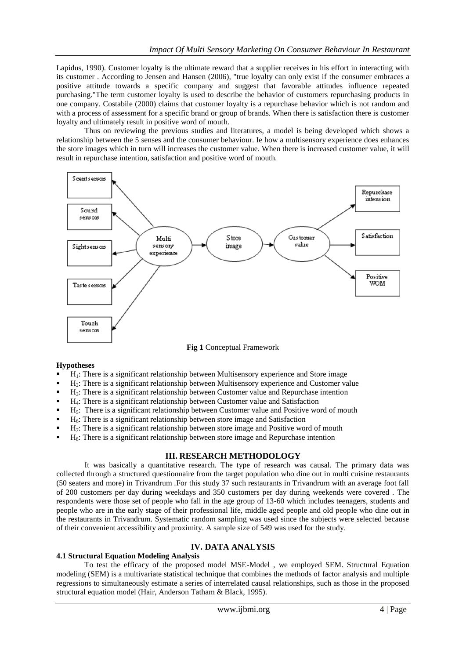Lapidus, 1990). Customer loyalty is the ultimate reward that a supplier receives in his effort in interacting with its customer . According to Jensen and Hansen (2006), "true loyalty can only exist if the consumer embraces a positive attitude towards a specific company and suggest that favorable attitudes influence repeated purchasing."The term customer loyalty is used to describe the behavior of customers repurchasing products in one company. Costabile (2000) claims that customer loyalty is a repurchase behavior which is not random and with a process of assessment for a specific brand or group of brands. When there is satisfaction there is customer loyalty and ultimately result in positive word of mouth.

Thus on reviewing the previous studies and literatures, a model is being developed which shows a relationship between the 5 senses and the consumer behaviour. Ie how a multisensory experience does enhances the store images which in turn will increases the customer value. When there is increased customer value, it will result in repurchase intention, satisfaction and positive word of mouth.



**Fig 1** Conceptual Framework

#### **Hypotheses**

- H<sub>1</sub>: There is a significant relationship between Multisensory experience and Store image
- H2: There is a significant relationship between Multisensory experience and Customer value
- $H_3$ : There is a significant relationship between Customer value and Repurchase intention
- H4: There is a significant relationship between Customer value and Satisfaction
- H5: There is a significant relationship between Customer value and Positive word of mouth
- $H_6$ : There is a significant relationship between store image and Satisfaction
- H7: There is a significant relationship between store image and Positive word of mouth
- $H_8$ : There is a significant relationship between store image and Repurchase intention

#### **III. RESEARCH METHODOLOGY**

It was basically a quantitative research. The type of research was causal. The primary data was collected through a structured questionnaire from the target population who dine out in multi cuisine restaurants (50 seaters and more) in Trivandrum .For this study 37 such restaurants in Trivandrum with an average foot fall of 200 customers per day during weekdays and 350 customers per day during weekends were covered . The respondents were those set of people who fall in the age group of 13-60 which includes teenagers, students and people who are in the early stage of their professional life, middle aged people and old people who dine out in the restaurants in Trivandrum. Systematic random sampling was used since the subjects were selected because of their convenient accessibility and proximity. A sample size of 549 was used for the study.

## **IV. DATA ANALYSIS**

#### **4.1 Structural Equation Modeling Analysis**

To test the efficacy of the proposed model MSE-Model , we employed SEM. Structural Equation modeling (SEM) is a multivariate statistical technique that combines the methods of factor analysis and multiple regressions to simultaneously estimate a series of interrelated causal relationships, such as those in the proposed structural equation model (Hair, Anderson Tatham & Black, 1995).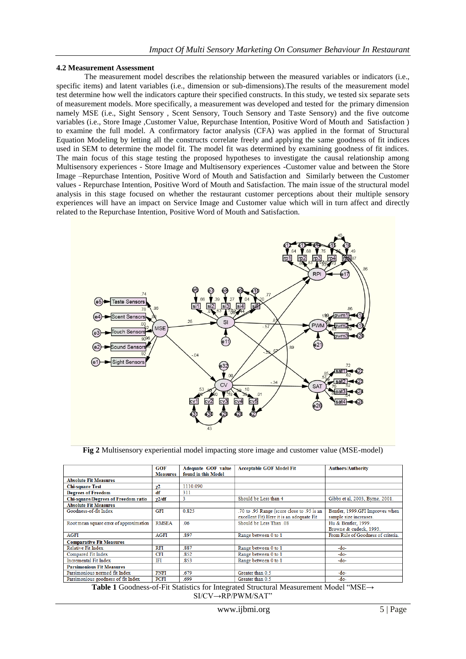#### **4.2 Measurement Assessment**

The measurement model describes the relationship between the measured variables or indicators (i.e., specific items) and latent variables (i.e., dimension or sub-dimensions).The results of the measurement model test determine how well the indicators capture their specified constructs. In this study, we tested six separate sets of measurement models. More specifically, a measurement was developed and tested for the primary dimension namely MSE (i.e., Sight Sensory , Scent Sensory, Touch Sensory and Taste Sensory) and the five outcome variables (i.e., Store Image ,Customer Value, Repurchase Intention, Positive Word of Mouth and Satisfaction ) to examine the full model. A confirmatory factor analysis (CFA) was applied in the format of Structural Equation Modeling by letting all the constructs correlate freely and applying the same goodness of fit indices used in SEM to determine the model fit. The model fit was determined by examining goodness of fit indices. The main focus of this stage testing the proposed hypotheses to investigate the causal relationship among Multisensory experiences - Store Image and Multisensory experiences -Customer value and between the Store Image –Repurchase Intention, Positive Word of Mouth and Satisfaction and Similarly between the Customer values - Repurchase Intention, Positive Word of Mouth and Satisfaction. The main issue of the structural model analysis in this stage focused on whether the restaurant customer perceptions about their multiple sensory experiences will have an impact on Service Image and Customer value which will in turn affect and directly related to the Repurchase Intention, Positive Word of Mouth and Satisfaction.



**Fig 2** Multisensory experiential model impacting store image and customer value (MSE-model)

|                                            | <b>GOF</b><br><b>Measures</b> | Adequate GOF value<br>found in this Model | <b>Acceptable GOF Model Fit</b>                                                          | <b>Authors/Authority</b>                                  |
|--------------------------------------------|-------------------------------|-------------------------------------------|------------------------------------------------------------------------------------------|-----------------------------------------------------------|
| <b>Absolute Fit Measures</b>               |                               |                                           |                                                                                          |                                                           |
| <b>Chi-square Test</b>                     | γ2                            | 1110.090                                  |                                                                                          |                                                           |
| <b>Degrees of Freedom</b>                  | df                            | 311                                       |                                                                                          |                                                           |
| <b>Chi-square/Degrees of Freedom ratio</b> | $\gamma$ 2/df                 | 3                                         | Should be Less than 4                                                                    | Gibbs et al. 2003. Byrne. 2001.                           |
| <b>Absolute Fit Measures</b>               |                               |                                           |                                                                                          |                                                           |
| Goodness-of-fit Index                      | GFI                           | 0.825                                     | .70 to .95 Range (score close to .95 is an<br>excellent Fit). Here it is an adequate Fit | Bentler, 1999.GFI Improves when<br>sample size increases. |
| Root mean square error of approximation    | <b>RMSEA</b>                  | .06                                       | Should be Less Than .08                                                                  | Hu & Bentler, 1999.<br>Browne & cudeck, 1993.             |
| <b>AGFI</b>                                | <b>AGFI</b>                   | .897                                      | Range between 0 to 1                                                                     | From Rule of Goodness of criteria.                        |
| <b>Comparative Fit Measures</b>            |                               |                                           |                                                                                          |                                                           |
| Relative Fit Index                         | <b>RFI</b>                    | 887                                       | Range between 0 to 1                                                                     | -do-                                                      |
| Compared Fit Index                         | <b>CFI</b>                    | .852                                      | Range between 0 to 1                                                                     | -do-                                                      |
| <b>Incremental Fit Index</b>               | IFI                           | .853                                      | Range between 0 to 1                                                                     | -do-                                                      |
| <b>Parsimonious Fit Measures</b>           |                               |                                           |                                                                                          |                                                           |
| Parsimonious normed fit Index              | <b>PNFI</b>                   | .679                                      | Greater than 0.5                                                                         | $-do-$                                                    |
| Parsimonious goodness of fit Index         | PCFI                          | .699                                      | Greater than 0.5                                                                         | $-do-$                                                    |

**Table 1** Goodness-of-Fit Statistics for Integrated Structural Measurement Model "MSE→ SI/CV→RP/PWM/SAT"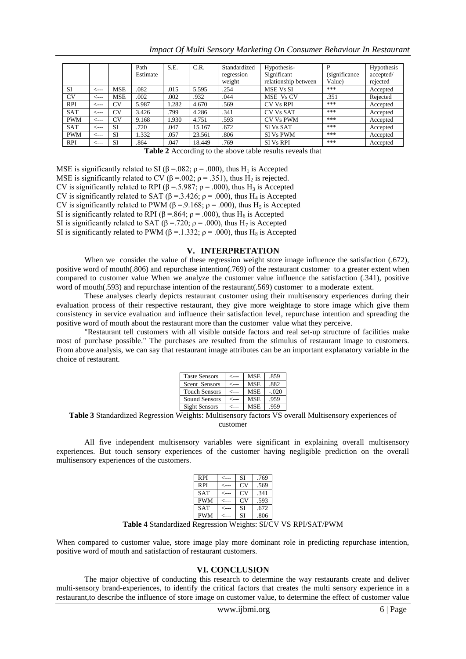|            |      |            | Path     | S.E.  | C.R.   | Standardized | Hypothesis-          | P              | Hypothesis |
|------------|------|------------|----------|-------|--------|--------------|----------------------|----------------|------------|
|            |      |            | Estimate |       |        | regression   | Significant          | (significance) | accepted/  |
|            |      |            |          |       |        | weight       | relationship between | Value)         | rejected   |
| SI         | <--- | MSE        | .082     | .015  | 5.595  | .254         | MSE Vs SI            | ***            | Accepted   |
| <b>CV</b>  | <--- | <b>MSE</b> | .002     | .002  | .932   | .044         | MSE Vs CV            | .351           | Rejected   |
| <b>RPI</b> | <--- | <b>CV</b>  | 5.987    | 1.282 | 4.670  | .569         | <b>CV Vs RPI</b>     | ***            | Accepted   |
| <b>SAT</b> | <--- | <b>CV</b>  | 3.426    | 799   | 4.286  | .341         | <b>CV Vs SAT</b>     | ***            | Accepted   |
| <b>PWM</b> | <--- | <b>CV</b>  | 9.168    | 1.930 | 4.751  | .593         | <b>CV Vs PWM</b>     | ***            | Accepted   |
| <b>SAT</b> | <--- | <b>SI</b>  | .720     | .047  | 15.167 | .672         | SI Vs SAT            | ***            | Accepted   |
| <b>PWM</b> | <--- | SI         | 1.332    | .057  | 23.561 | .806         | <b>SI Vs PWM</b>     | ***            | Accepted   |
| <b>RPI</b> | <--- | SI         | .864     | .047  | 18.449 | .769         | <b>SIVs RPI</b>      | ***            | Accepted   |

*Impact Of Multi Sensory Marketing On Consumer Behaviour In Restaurant*

**Table 2** According to the above table results reveals that

MSE is significantly related to SI ( $\beta$  = .082;  $\rho$  = .000), thus H<sub>1</sub> is Accepted MSE is significantly related to CV ( $\beta$  =.002;  $\rho$  = .351), thus H<sub>2</sub> is rejected. CV is significantly related to RPI ( $\beta$  = .5.987;  $\rho$  = .000), thus H<sub>3</sub> is Accepted CV is significantly related to SAT ( $\beta$  = .3.426;  $\rho$  = .000), thus H<sub>4</sub> is Accepted CV is significantly related to PWM ( $\beta$  = .9.168;  $\rho$  = .000), thus H<sub>5</sub> is Accepted SI is significantly related to RPI ( $\beta$  = .864;  $\rho$  = .000), thus H<sub>6</sub> is Accepted SI is significantly related to SAT ( $\beta$  = .720;  $\rho$  = .000), thus H<sub>7</sub> is Accepted SI is significantly related to PWM ( $\beta$  = .1.332;  $\rho$  = .000), thus H<sub>8</sub> is Accepted

#### **V. INTERPRETATION**

When we consider the value of these regression weight store image influence the satisfaction (.672), positive word of mouth(.806) and repurchase intention(.769) of the restaurant customer to a greater extent when compared to customer value When we analyze the customer value influence the satisfaction (.341), positive word of mouth(.593) and repurchase intention of the restaurant(.569) customer to a moderate extent.

These analyses clearly depicts restaurant customer using their multisensory experiences during their evaluation process of their respective restaurant, they give more weightage to store image which give them consistency in service evaluation and influence their satisfaction level, repurchase intention and spreading the positive word of mouth about the restaurant more than the customer value what they perceive.

"Restaurant tell customers with all visible outside factors and real set-up structure of facilities make most of purchase possible." The purchases are resulted from the stimulus of restaurant image to customers. From above analysis, we can say that restaurant image attributes can be an important explanatory variable in the choice of restaurant.

| <b>Taste Sensors</b> | <--- | <b>MSE</b> | .859    |
|----------------------|------|------------|---------|
| Scent Sensors        | <--- | <b>MSE</b> | .882    |
| <b>Touch Sensors</b> | <--- | <b>MSE</b> | $-.020$ |
| Sound Sensors        | <--- | <b>MSE</b> | .959    |
| Sight Sensors        |      | <b>MSE</b> | .959    |

**Table 3** Standardized Regression Weights: Multisensory factors VS overall Multisensory experiences of customer

All five independent multisensory variables were significant in explaining overall multisensory experiences. But touch sensory experiences of the customer having negligible prediction on the overall multisensory experiences of the customers.

| <b>RPI</b> | ⊂--- | SI        | .769 |
|------------|------|-----------|------|
| <b>RPI</b> |      | <b>CV</b> | .569 |
| <b>SAT</b> |      | <b>CV</b> | .341 |
| <b>PWM</b> |      | <b>CV</b> | .593 |
| <b>SAT</b> |      | SI        | .672 |
| <b>PWM</b> |      | SI        | .806 |

**Table 4** Standardized Regression Weights: SI/CV VS RPI/SAT/PWM

When compared to customer value, store image play more dominant role in predicting repurchase intention, positive word of mouth and satisfaction of restaurant customers.

## **VI. CONCLUSION**

The major objective of conducting this research to determine the way restaurants create and deliver multi-sensory brand-experiences, to identify the critical factors that creates the multi sensory experience in a restaurant,to describe the influence of store image on customer value, to determine the effect of customer value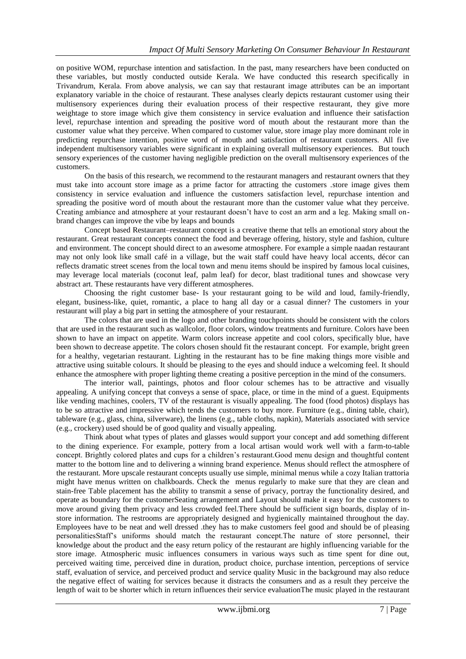on positive WOM, repurchase intention and satisfaction. In the past, many researchers have been conducted on these variables, but mostly conducted outside Kerala. We have conducted this research specifically in Trivandrum, Kerala. From above analysis, we can say that restaurant image attributes can be an important explanatory variable in the choice of restaurant. These analyses clearly depicts restaurant customer using their multisensory experiences during their evaluation process of their respective restaurant, they give more weightage to store image which give them consistency in service evaluation and influence their satisfaction level, repurchase intention and spreading the positive word of mouth about the restaurant more than the customer value what they perceive. When compared to customer value, store image play more dominant role in predicting repurchase intention, positive word of mouth and satisfaction of restaurant customers. All five independent multisensory variables were significant in explaining overall multisensory experiences. But touch sensory experiences of the customer having negligible prediction on the overall multisensory experiences of the customers.

On the basis of this research, we recommend to the restaurant managers and restaurant owners that they must take into account store image as a prime factor for attracting the customers .store image gives them consistency in service evaluation and influence the customers satisfaction level, repurchase intention and spreading the positive word of mouth about the restaurant more than the customer value what they perceive. Creating ambiance and atmosphere at your restaurant doesn"t have to cost an arm and a leg. Making small onbrand changes can improve the vibe by leaps and bounds

Concept based Restaurant–restaurant concept is a creative theme that tells an emotional story about the restaurant. Great restaurant concepts connect the food and beverage offering, history, style and fashion, culture and environment. The concept should direct to an awesome atmosphere. For example a simple naadan restaurant may not only look like small café in a village, but the wait staff could have heavy local accents, décor can reflects dramatic street scenes from the local town and menu items should be inspired by famous local cuisines, may leverage local materials (coconut leaf, palm leaf) for decor, blast traditional tunes and showcase very abstract art. These restaurants have very different atmospheres.

Choosing the right customer base- Is your restaurant going to be wild and loud, family-friendly, elegant, business-like, quiet, romantic, a place to hang all day or a casual dinner? The customers in your restaurant will play a big part in setting the atmosphere of your restaurant.

The colors that are used in the logo and other branding touchpoints should be consistent with the colors that are used in the restaurant such as wallcolor, floor colors, window treatments and furniture. Colors have been shown to have an impact on appetite. Warm colors increase appetite and cool colors, specifically blue, have been shown to decrease appetite. The colors chosen should fit the restaurant concept. For example, bright green for a healthy, vegetarian restaurant. Lighting in the restaurant has to be fine making things more visible and attractive using suitable colours. It should be pleasing to the eyes and should induce a welcoming feel. It should enhance the atmosphere with proper lighting theme creating a positive perception in the mind of the consumers.

The interior wall, paintings, photos and floor colour schemes has to be attractive and visually appealing. A unifying concept that conveys a sense of space, place, or time in the mind of a guest. Equipments like vending machines, coolers, TV of the restaurant is visually appealing. The food (food photos) displays has to be so attractive and impressive which tends the customers to buy more. Furniture (e.g., dining table, chair), tableware (e.g., glass, china, silverware), the linens (e.g., table cloths, napkin), Materials associated with service (e.g., crockery) used should be of good quality and visually appealing.

Think about what types of plates and glasses would support your concept and add something different to the dining experience. For example, pottery from a local artisan would work well with a farm-to-table concept. Brightly colored plates and cups for a children"s restaurant.Good menu design and thoughtful content matter to the bottom line and to delivering a winning brand experience. Menus should reflect the atmosphere of the restaurant. More upscale restaurant concepts usually use simple, minimal menus while a cozy Italian trattoria might have menus written on chalkboards. Check the menus regularly to make sure that they are clean and stain-free Table placement has the ability to transmit a sense of privacy, portray the functionality desired, and operate as boundary for the customerSeating arrangement and Layout should make it easy for the customers to move around giving them privacy and less crowded feel.There should be sufficient sign boards, display of instore information. The restrooms are appropriately designed and hygienically maintained throughout the day. Employees have to be neat and well dressed .they has to make customers feel good and should be of pleasing personalitiesStaff"s uniforms should match the restaurant concept.The nature of store personnel, their knowledge about the product and the easy return policy of the restaurant are highly influencing variable for the store image. Atmospheric music influences consumers in various ways such as time spent for dine out, perceived waiting time, perceived dine in duration, product choice, purchase intention, perceptions of service staff, evaluation of service, and perceived product and service quality Music in the background may also reduce the negative effect of waiting for services because it distracts the consumers and as a result they perceive the length of wait to be shorter which in return influences their service evaluationThe music played in the restaurant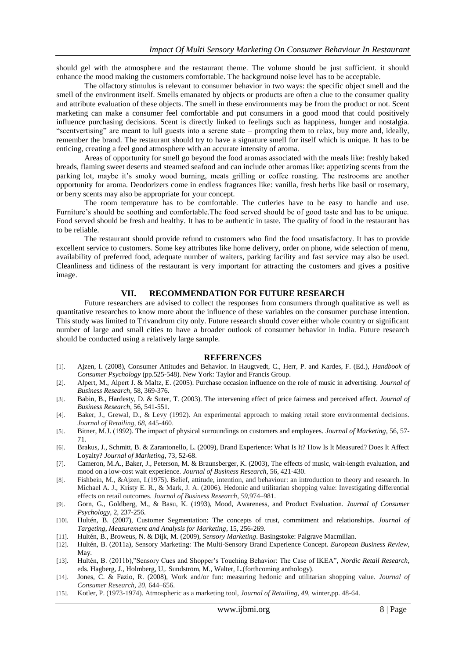should gel with the atmosphere and the restaurant theme. The volume should be just sufficient. it should enhance the mood making the customers comfortable. The background noise level has to be acceptable.

The olfactory stimulus is relevant to consumer behavior in two ways: the specific object smell and the smell of the environment itself. Smells emanated by objects or products are often a clue to the consumer quality and attribute evaluation of these objects. The smell in these environments may be from the product or not. Scent marketing can make a consumer feel comfortable and put consumers in a good mood that could positively influence purchasing decisions. Scent is directly linked to feelings such as happiness, hunger and nostalgia. "scentvertising" are meant to lull guests into a serene state – prompting them to relax, buy more and, ideally, remember the brand. The restaurant should try to have a signature smell for itself which is unique. It has to be enticing, creating a feel good atmosphere with an accurate intensity of aroma.

Areas of opportunity for smell go beyond the food aromas associated with the meals like: freshly baked breads, flaming sweet deserts and steamed seafood and can include other aromas like: appetizing scents from the parking lot, maybe it's smoky wood burning, meats grilling or coffee roasting. The restrooms are another opportunity for aroma. Deodorizers come in endless fragrances like: vanilla, fresh herbs like basil or rosemary, or berry scents may also be appropriate for your concept.

The room temperature has to be comfortable. The cutleries have to be easy to handle and use. Furniture's should be soothing and comfortable. The food served should be of good taste and has to be unique. Food served should be fresh and healthy. It has to be authentic in taste. The quality of food in the restaurant has to be reliable.

The restaurant should provide refund to customers who find the food unsatisfactory. It has to provide excellent service to customers. Some key attributes like home delivery, order on phone, wide selection of menu, availability of preferred food, adequate number of waiters, parking facility and fast service may also be used. Cleanliness and tidiness of the restaurant is very important for attracting the customers and gives a positive image.

#### **VII. RECOMMENDATION FOR FUTURE RESEARCH**

Future researchers are advised to collect the responses from consumers through qualitative as well as quantitative researches to know more about the influence of these variables on the consumer purchase intention. This study was limited to Trivandrum city only. Future research should cover either whole country or significant number of large and small cities to have a broader outlook of consumer behavior in India. Future research should be conducted using a relatively large sample.

#### **REFERENCES**

- [1]. Ajzen, I. (2008), Consumer Attitudes and Behavior. In Haugtvedt, C., Herr, P. and Kardes, F. (Ed.), *Handbook of Consumer Psychology* (pp.525-548). New York: Taylor and Francis Group.
- [2]. Alpert, M., Alpert J. & Maltz, E. (2005). Purchase occasion influence on the role of music in advertising. *Journal of Business Research,* 58, 369-376.
- [3]. Babin, B., Hardesty, D. & Suter, T. (2003). The intervening effect of price fairness and perceived affect. *Journal of Business Research*, 56, 541-551.
- [4]. Baker, J., Grewal, D., & Levy (1992). An experimental approach to making retail store environmental decisions. *Journal of Retailing, 68,* 445-460.
- [5]. Bitner, M.J. (1992). The impact of physical surroundings on customers and employees. *Journal of Marketing,* 56, 57- 71*.*
- [6]. Brakus, J., Schmitt, B. & Zarantonello, L. (2009), Brand Experience: What Is It? How Is It Measured? Does It Affect Loyalty? *Journal of Marketing*, 73, 52-68.
- [7]. Cameron, M.A., Baker, J., Peterson, M. & Braunsberger, K. (2003), The effects of music, wait-length evaluation, and mood on a low-cost wait experience. *Journal of Business Research,* 56, 421-430.
- [8]. Fishbein, M., &Ajzen, I.(1975). Belief, attitude, intention, and behaviour: an introduction to theory and research. In Michael A. J., Kristy E. R., & Mark, J. A. (2006). Hedonic and utilitarian shopping value: Investigating differential effects on retail outcomes. *Journal of Business Research, 59,*974–981.
- [9]. Gorn, G., Goldberg, M., & Basu, K. (1993), Mood, Awareness, and Product Evaluation. *Journal of Consumer Psychology,* 2, 237-256.
- [10]. Hultén, B. (2007), Customer Segmentation: The concepts of trust, commitment and relationships. *Journal of Targeting, Measurement and Analysis for Marketing*, 15, 256-269.
- [11]. Hultén, B., Broweus, N. & Dijk, M. (2009), *Sensory Marketing*. Basingstoke: Palgrave Macmillan.
- [12]. Hultén, B. (2011a), Sensory Marketing: The Multi-Sensory Brand Experience Concept. *European Business Review*, May.
- [13]. Hultén, B. (2011b),"Sensory Cues and Shopper"s Touching Behavior: The Case of IKEA", *Nordic Retail Research*, eds. Hagberg, J., Holmberg, U,. Sundström, M., Walter, L.(forthcoming anthology).
- [14]. Jones, C. & Fazio, R. (2008), Work and/or fun: measuring hedonic and utilitarian shopping value. *Journal of Consumer Research, 20,* 644–656.
- [15]. Kotler, P. (1973-1974). Atmospheric as a marketing tool, *Journal of Retailing, 49,* winter,pp. 48-64.